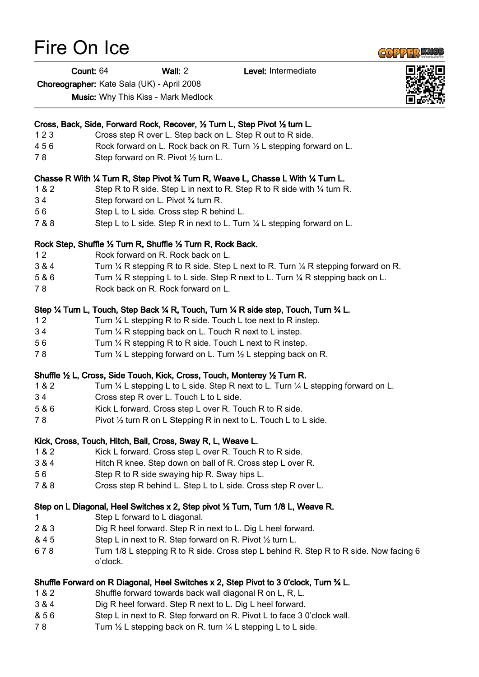## Fire On Ice

Count: 64 Wall: 2 Level: Intermediate

Choreographer: Kate Sala (UK) - April 2008

Music: Why This Kiss - Mark Medlock

|       | Cross, Back, Side, Forward Rock, Recover, 1/2 Turn L, Step Pivot 1/2 turn L.                             |
|-------|----------------------------------------------------------------------------------------------------------|
| 123   | Cross step R over L. Step back on L. Step R out to R side.                                               |
| 456   | Rock forward on L. Rock back on R. Turn 1/2 L stepping forward on L.                                     |
| 78    | Step forward on R. Pivot 1/2 turn L.                                                                     |
|       | Chasse R With 1⁄4 Turn R, Step Pivot 3⁄4 Turn R, Weave L, Chasse L With 1⁄4 Turn L.                      |
| 1 & 2 | Step R to R side. Step L in next to R. Step R to R side with 1/4 turn R.                                 |
| 34    | Step forward on L. Pivot 3/4 turn R.                                                                     |
| 56    | Step L to L side. Cross step R behind L.                                                                 |
| 7 & 8 | Step L to L side. Step R in next to L. Turn 1/4 L stepping forward on L.                                 |
|       | Rock Step, Shuffle 1/2 Turn R, Shuffle 1/2 Turn R, Rock Back.                                            |
| 12    | Rock forward on R. Rock back on L.                                                                       |
| 3 & 4 | Turn $\frac{1}{4}$ R stepping R to R side. Step L next to R. Turn $\frac{1}{4}$ R stepping forward on R. |
| 5 & 6 | Turn $\frac{1}{4}$ R stepping L to L side. Step R next to L. Turn $\frac{1}{4}$ R stepping back on L.    |
| 78    | Rock back on R. Rock forward on L.                                                                       |
|       | Step ¼ Turn L, Touch, Step Back ¼ R, Touch, Turn ¼ R side step, Touch, Turn ¾ L.                         |
| 12    | Turn $\frac{1}{4}$ L stepping R to R side. Touch L toe next to R instep.                                 |
| 34    | Turn 1/4 R stepping back on L. Touch R next to L instep.                                                 |
| 56    | Turn 1/4 R stepping R to R side. Touch L next to R instep.                                               |
| 78    | Turn $\frac{1}{4}$ L stepping forward on L. Turn $\frac{1}{2}$ L stepping back on R.                     |
|       | Shuffle 1/2 L, Cross, Side Touch, Kick, Cross, Touch, Monterey 1/2 Turn R.                               |
| 1 & 2 | Turn $\frac{1}{2}$ L stepping L to L side. Step R next to L. Turn $\frac{1}{2}$ L stepping forward on L. |
| 34    | Cross step R over L. Touch L to L side.                                                                  |
| 5 & 6 | Kick L forward. Cross step L over R. Touch R to R side.                                                  |
| 78    | Pivot 1/2 turn R on L Stepping R in next to L. Touch L to L side.                                        |
|       | Kick, Cross, Touch, Hitch, Ball, Cross, Sway R, L, Weave L.                                              |
| 1 & 2 | Kick L forward. Cross step L over R. Touch R to R side.                                                  |
| 3 & 4 | Hitch R knee. Step down on ball of R. Cross step L over R.                                               |
| 56    | Step R to R side swaying hip R. Sway hips L                                                              |
| 7 & 8 | Cross step R behind L. Step L to L side. Cross step R over L.                                            |
|       |                                                                                                          |
|       | Step on L Diagonal, Heel Switches x 2, Step pivot 1/2 Turn, Turn 1/8 L, Weave R.                         |
| 1.    | Step L forward to L diagonal.                                                                            |
| 2 & 3 | Dig R heel forward. Step R in next to L. Dig L heel forward.                                             |
| & 45  | Step L in next to R. Step forward on R. Pivot 1/2 turn L.                                                |
| 678   | Turn 1/8 L stepping R to R side. Cross step L behind R. Step R to R side. Now facing 6<br>o'clock.       |
|       | Shuffle Forward on R Diagonal, Heel Switches x 2, Step Pivot to 3 0'clock, Turn ¾ L.                     |
| 1 & 2 | Shuffle forward towards back wall diagonal R on L, R, L.                                                 |
| 3 & 4 | Dig R heel forward. Step R next to L. Dig L heel forward.                                                |
|       |                                                                                                          |

- & 5 6 Step L in next to R. Step forward on R. Pivot L to face 3 0'clock wall.
- 78 Turn 1/2 L stepping back on R. turn 1/4 L stepping L to L side.